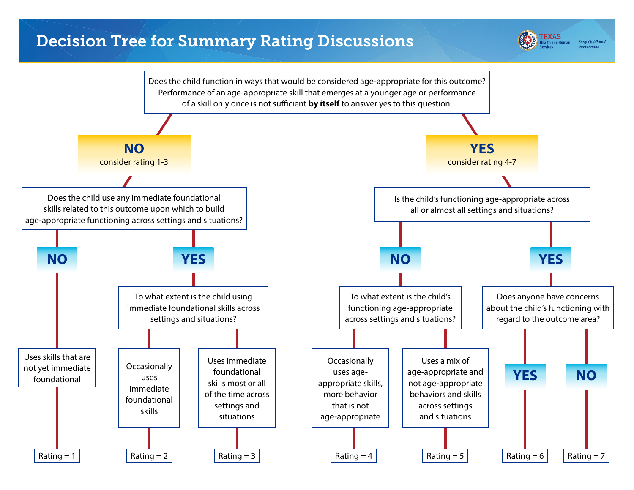## Decision Tree for Summary Rating Discussions



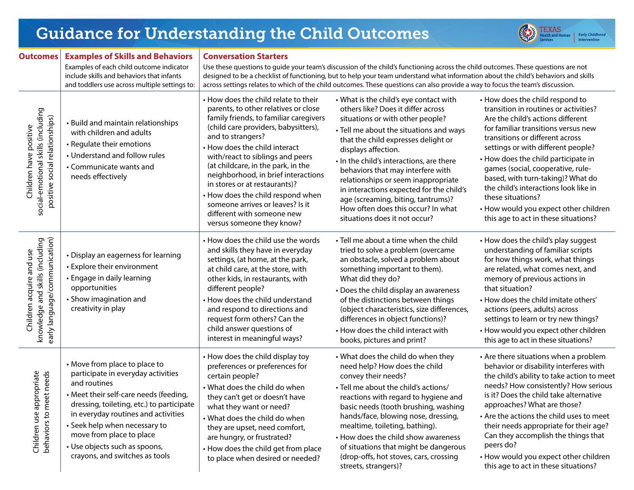|                                                                                                |                                                                                                                                                                                                                                                                                                                                                   |                                                                                                                                                                                                                                                                                                                                                                                                                                                                                                            |                                                                                                                                                                                                                                                                                                                                                                                                                                                                                                            | $\parallel$ <i>intervention</i>                                                                                                                                                                                                                                                                                                                                                                                                                                                               |
|------------------------------------------------------------------------------------------------|---------------------------------------------------------------------------------------------------------------------------------------------------------------------------------------------------------------------------------------------------------------------------------------------------------------------------------------------------|------------------------------------------------------------------------------------------------------------------------------------------------------------------------------------------------------------------------------------------------------------------------------------------------------------------------------------------------------------------------------------------------------------------------------------------------------------------------------------------------------------|------------------------------------------------------------------------------------------------------------------------------------------------------------------------------------------------------------------------------------------------------------------------------------------------------------------------------------------------------------------------------------------------------------------------------------------------------------------------------------------------------------|-----------------------------------------------------------------------------------------------------------------------------------------------------------------------------------------------------------------------------------------------------------------------------------------------------------------------------------------------------------------------------------------------------------------------------------------------------------------------------------------------|
| <b>Outcomes</b>                                                                                | <b>Examples of Skills and Behaviors</b><br>Examples of each child outcome indicator<br>include skills and behaviors that infants<br>and toddlers use across multiple settings to:                                                                                                                                                                 | <b>Conversation Starters</b><br>Use these questions to guide your team's discussion of the child's functioning across the child outcomes. These questions are not<br>designed to be a checklist of functioning, but to help your team understand what information about the child's behaviors and skills<br>across settings relates to which of the child outcomes. These questions can also provide a way to focus the team's discussion.                                                                 |                                                                                                                                                                                                                                                                                                                                                                                                                                                                                                            |                                                                                                                                                                                                                                                                                                                                                                                                                                                                                               |
| social-emotional skills (including<br>positive social relationships)<br>Children have positive | • Build and maintain relationships<br>with children and adults<br>• Regulate their emotions<br>• Understand and follow rules<br>• Communicate wants and<br>needs effectively                                                                                                                                                                      | • How does the child relate to their<br>parents, to other relatives or close<br>family friends, to familiar caregivers<br>(child care providers, babysitters),<br>and to strangers?<br>• How does the child interact<br>with/react to siblings and peers<br>(at childcare, in the park, in the<br>neighborhood, in brief interactions<br>in stores or at restaurants)?<br>• How does the child respond when<br>someone arrives or leaves? Is it<br>different with someone new<br>versus someone they know? | • What is the child's eye contact with<br>others like? Does it differ across<br>situations or with other people?<br>• Tell me about the situations and ways<br>that the child expresses delight or<br>displays affection.<br>. In the child's interactions, are there<br>behaviors that may interfere with<br>relationships or seem inappropriate<br>in interactions expected for the child's<br>age (screaming, biting, tantrums)?<br>How often does this occur? In what<br>situations does it not occur? | • How does the child respond to<br>transition in routines or activities?<br>Are the child's actions different<br>for familiar transitions versus new<br>transitions or different across<br>settings or with different people?<br>• How does the child participate in<br>games (social, cooperative, rule-<br>based, with turn-taking)? What do<br>the child's interactions look like in<br>these situations?<br>• How would you expect other children<br>this age to act in these situations? |
| knowledge and skills (including<br>early language/communication)<br>Children acquire and use   | • Display an eagerness for learning<br>• Explore their environment<br>• Engage in daily learning<br>opportunities<br>• Show imagination and<br>creativity in play                                                                                                                                                                                 | • How does the child use the words<br>and skills they have in everyday<br>settings, (at home, at the park,<br>at child care, at the store, with<br>other kids, in restaurants, with<br>different people?<br>• How does the child understand<br>and respond to directions and<br>request form others? Can the<br>child answer questions of<br>interest in meaningful ways?                                                                                                                                  | • Tell me about a time when the child<br>tried to solve a problem (overcame<br>an obstacle, solved a problem about<br>something important to them).<br>What did they do?<br>• Does the child display an awareness<br>of the distinctions between things<br>(object characteristics, size differences,<br>differences in object functions)?<br>• How does the child interact with<br>books, pictures and print?                                                                                             | • How does the child's play suggest<br>understanding of familiar scripts<br>for how things work, what things<br>are related, what comes next, and<br>memory of previous actions in<br>that situation?<br>• How does the child imitate others'<br>actions (peers, adults) across<br>settings to learn or try new things?<br>• How would you expect other children<br>this age to act in these situations?                                                                                      |
| Children use appropriate<br>et needs<br>behaviors to me                                        | • Move from place to place to<br>participate in everyday activities<br>and routines<br>• Meet their self-care needs (feeding,<br>dressing, toileting, etc.) to participate<br>in everyday routines and activities<br>• Seek help when necessary to<br>move from place to place<br>• Use objects such as spoons,<br>crayons, and switches as tools | • How does the child display toy<br>preferences or preferences for<br>certain people?<br>• What does the child do when<br>they can't get or doesn't have<br>what they want or need?<br>• What does the child do when<br>they are upset, need comfort,<br>are hungry, or frustrated?<br>• How does the child get from place<br>to place when desired or needed?                                                                                                                                             | • What does the child do when they<br>need help? How does the child<br>convey their needs?<br>• Tell me about the child's actions/<br>reactions with regard to hygiene and<br>basic needs (tooth brushing, washing<br>hands/face, blowing nose, dressing,<br>mealtime, toileting, bathing).<br>• How does the child show awareness<br>of situations that might be dangerous<br>(drop-offs, hot stoves, cars, crossing<br>streets, strangers)?                                                              | • Are there situations when a problem<br>behavior or disability interferes with<br>the child's ability to take action to meet<br>needs? How consistently? How serious<br>is it? Does the child take alternative<br>approaches? What are those?<br>• Are the actions the child uses to meet<br>their needs appropriate for their age?<br>Can they accomplish the things that<br>peers do?<br>• How would you expect other children<br>this age to act in these situations?                     |

## Guidance for Understanding the Child Outcomes